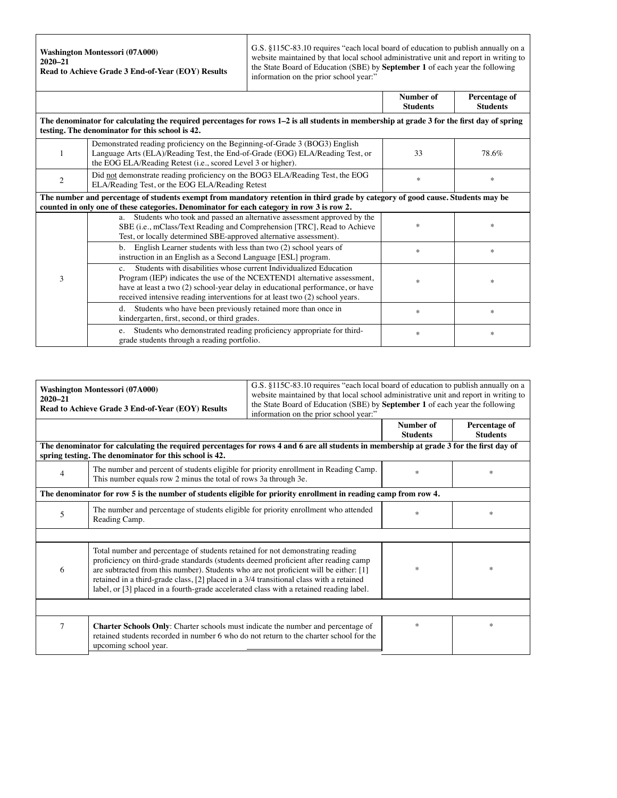**Washington Montessori (07A000) 2020–21 Read to Achieve Grade 3 End-of-Year (EOY) Results** G.S. §115C-83.10 requires "each local board of education to publish annually on a website maintained by that local school administrative unit and report in writing to the State Board of Education (SBE) by **September 1** of each year the following information on the prior school year:"

|                                                                                                                                                                                                                              |                                                                                                                                                                                                                                                                                                                               | Number of<br><b>Students</b> | Percentage of<br><b>Students</b> |  |  |  |
|------------------------------------------------------------------------------------------------------------------------------------------------------------------------------------------------------------------------------|-------------------------------------------------------------------------------------------------------------------------------------------------------------------------------------------------------------------------------------------------------------------------------------------------------------------------------|------------------------------|----------------------------------|--|--|--|
| The denominator for calculating the required percentages for rows 1–2 is all students in membership at grade 3 for the first day of spring<br>testing. The denominator for this school is 42.                                |                                                                                                                                                                                                                                                                                                                               |                              |                                  |  |  |  |
|                                                                                                                                                                                                                              | Demonstrated reading proficiency on the Beginning-of-Grade 3 (BOG3) English<br>Language Arts (ELA)/Reading Test, the End-of-Grade (EOG) ELA/Reading Test, or<br>the EOG ELA/Reading Retest (i.e., scored Level 3 or higher).                                                                                                  | 33                           | 78.6%                            |  |  |  |
| 2                                                                                                                                                                                                                            | Did not demonstrate reading proficiency on the BOG3 ELA/Reading Test, the EOG<br>ELA/Reading Test, or the EOG ELA/Reading Retest                                                                                                                                                                                              | $\ast$                       | *                                |  |  |  |
| The number and percentage of students exempt from mandatory retention in third grade by category of good cause. Students may be<br>counted in only one of these categories. Denominator for each category in row 3 is row 2. |                                                                                                                                                                                                                                                                                                                               |                              |                                  |  |  |  |
| 3                                                                                                                                                                                                                            | Students who took and passed an alternative assessment approved by the<br>a.<br>SBE (i.e., mClass/Text Reading and Comprehension [TRC], Read to Achieve<br>Test, or locally determined SBE-approved alternative assessment).                                                                                                  | *                            | *                                |  |  |  |
|                                                                                                                                                                                                                              | b. English Learner students with less than two (2) school years of<br>instruction in an English as a Second Language [ESL] program.                                                                                                                                                                                           | $\ast$                       | *                                |  |  |  |
|                                                                                                                                                                                                                              | Students with disabilities whose current Individualized Education<br>$C_{\alpha}$<br>Program (IEP) indicates the use of the NCEXTEND1 alternative assessment,<br>have at least a two (2) school-year delay in educational performance, or have<br>received intensive reading interventions for at least two (2) school years. | *                            | *                                |  |  |  |
|                                                                                                                                                                                                                              | Students who have been previously retained more than once in<br>d.<br>kindergarten, first, second, or third grades.                                                                                                                                                                                                           | *                            | *                                |  |  |  |
|                                                                                                                                                                                                                              | Students who demonstrated reading proficiency appropriate for third-<br>e.<br>grade students through a reading portfolio.                                                                                                                                                                                                     | *                            | *                                |  |  |  |

| Washington Montessori (07A000)<br>$2020 - 21$<br>Read to Achieve Grade 3 End-of-Year (EOY) Results |                                                                                                                                                                                                                                                                                                                                                                                                                                                      | G.S. §115C-83.10 requires "each local board of education to publish annually on a<br>website maintained by that local school administrative unit and report in writing to<br>the State Board of Education (SBE) by September 1 of each year the following<br>information on the prior school year." |                              |                                  |
|----------------------------------------------------------------------------------------------------|------------------------------------------------------------------------------------------------------------------------------------------------------------------------------------------------------------------------------------------------------------------------------------------------------------------------------------------------------------------------------------------------------------------------------------------------------|-----------------------------------------------------------------------------------------------------------------------------------------------------------------------------------------------------------------------------------------------------------------------------------------------------|------------------------------|----------------------------------|
|                                                                                                    |                                                                                                                                                                                                                                                                                                                                                                                                                                                      |                                                                                                                                                                                                                                                                                                     | Number of<br><b>Students</b> | Percentage of<br><b>Students</b> |
|                                                                                                    | The denominator for calculating the required percentages for rows 4 and 6 are all students in membership at grade 3 for the first day of<br>spring testing. The denominator for this school is 42.                                                                                                                                                                                                                                                   |                                                                                                                                                                                                                                                                                                     |                              |                                  |
| 4                                                                                                  | The number and percent of students eligible for priority enrollment in Reading Camp.<br>This number equals row 2 minus the total of rows 3a through 3e.                                                                                                                                                                                                                                                                                              |                                                                                                                                                                                                                                                                                                     | $\ast$                       | $\ast$                           |
|                                                                                                    | The denominator for row 5 is the number of students eligible for priority enrollment in reading camp from row 4.                                                                                                                                                                                                                                                                                                                                     |                                                                                                                                                                                                                                                                                                     |                              |                                  |
| 5                                                                                                  | The number and percentage of students eligible for priority enrollment who attended<br>Reading Camp.                                                                                                                                                                                                                                                                                                                                                 |                                                                                                                                                                                                                                                                                                     | *                            | $\ast$                           |
|                                                                                                    |                                                                                                                                                                                                                                                                                                                                                                                                                                                      |                                                                                                                                                                                                                                                                                                     |                              |                                  |
| 6                                                                                                  | Total number and percentage of students retained for not demonstrating reading<br>proficiency on third-grade standards (students deemed proficient after reading camp<br>are subtracted from this number). Students who are not proficient will be either: [1]<br>retained in a third-grade class, [2] placed in a 3/4 transitional class with a retained<br>label, or [3] placed in a fourth-grade accelerated class with a retained reading label. |                                                                                                                                                                                                                                                                                                     | *                            | *                                |
|                                                                                                    |                                                                                                                                                                                                                                                                                                                                                                                                                                                      |                                                                                                                                                                                                                                                                                                     |                              |                                  |
| $\tau$                                                                                             | <b>Charter Schools Only:</b> Charter schools must indicate the number and percentage of<br>retained students recorded in number 6 who do not return to the charter school for the<br>upcoming school year.                                                                                                                                                                                                                                           |                                                                                                                                                                                                                                                                                                     | $\ast$                       | $\ast$                           |